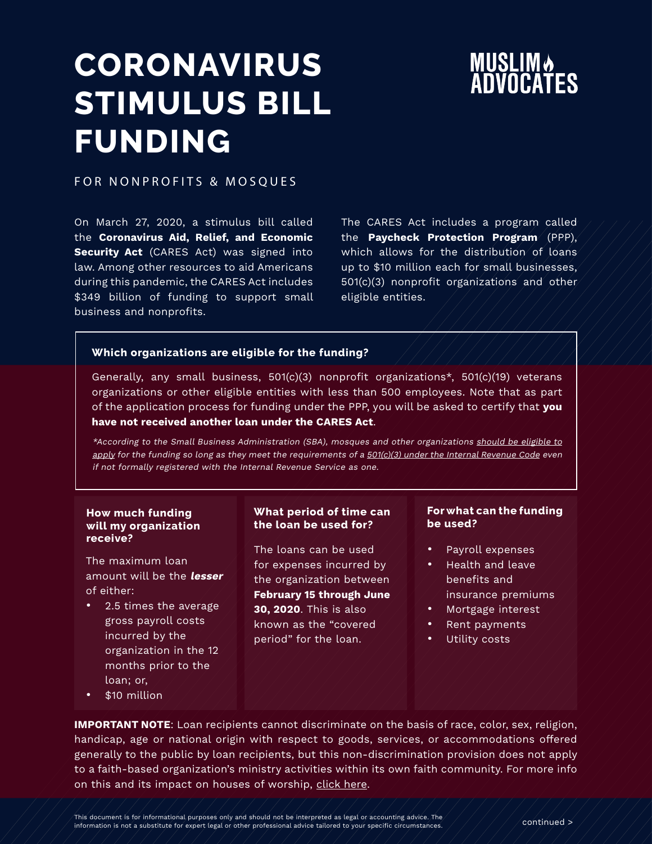# **MUSLIMA**<br>ADVOCATES

### **CORONAVIRUS STIMULUS BILL FUNDING**

FOR NONPROFITS & MOSQUES

On March 27, 2020, a stimulus bill called the **Coronavirus Aid, Relief, and Economic Security Act** (CARES Act) was signed into law. Among other resources to aid Americans during this pandemic, the CARES Act includes \$349 billion of funding to support small business and nonprofits.

The CARES Act includes a program called the **Paycheck Protection Program** (PPP), which allows for the distribution of loans up to \$10 million each for small businesses, 501(c)(3) nonprofit organizations and other eligible entities.

#### **Which organizations are eligible for the funding?**

Generally, any small business, 501(c)(3) nonprofit organizations\*, 501(c)(19) veterans organizations or other eligible entities with less than 500 employees. Note that as part of the application process for funding under the PPP, you will be asked to certify that **you have not received another loan under the CARES Act**.

\*According to the Small Business Administration (SBA), mosques and other organizations [should be eligible to](https://www.sba.gov/sites/default/files/2020-04/SBA%20Faith-Based%20FAQ%20Final.pdf) [apply](https://www.sba.gov/sites/default/files/2020-04/SBA%20Faith-Based%20FAQ%20Final.pdf) for the funding so long as they meet the requirements of a [501\(c\)\(3\) under the Internal Revenue Code](https://www.irs.gov/charities-non-profits/charitable-organizations/exemption-requirements-501c3-organizations) even if not formally registered with the Internal Revenue Service as one.

#### **How much funding will my organization receive?**

The maximum loan amount will be the **lesser** of either:

- 2.5 times the average gross payroll costs incurred by the organization in the 12 months prior to the loan; or,
- \$10 million

#### **What period of time can the loan be used for?**

The loans can be used for expenses incurred by the organization between **February 15 through June 30, 2020**. This is also known as the "covered period" for the loan.

#### **For what can the funding be used?**

- Payroll expenses
- Health and leave benefits and insurance premiums
- Mortgage interest
- Rent payments
- Utility costs

**IMPORTANT NOTE**: Loan recipients cannot discriminate on the basis of race, color, sex, religion, handicap, age or national origin with respect to goods, services, or accommodations offered generally to the public by loan recipients, but this non-discrimination provision does not apply to a faith-based organization's ministry activities within its own faith community. For more info on this and its impact on houses of worship, [click here.](https://www.sba.gov/sites/default/files/2020-04/SBA%20Faith-Based%20FAQ%20Final.pdf)

This document is for informational purposes only and should not be interpreted as legal or accounting advice. The many and the model of contrinued  $>$  information is not a substitute for expert legal or other professional